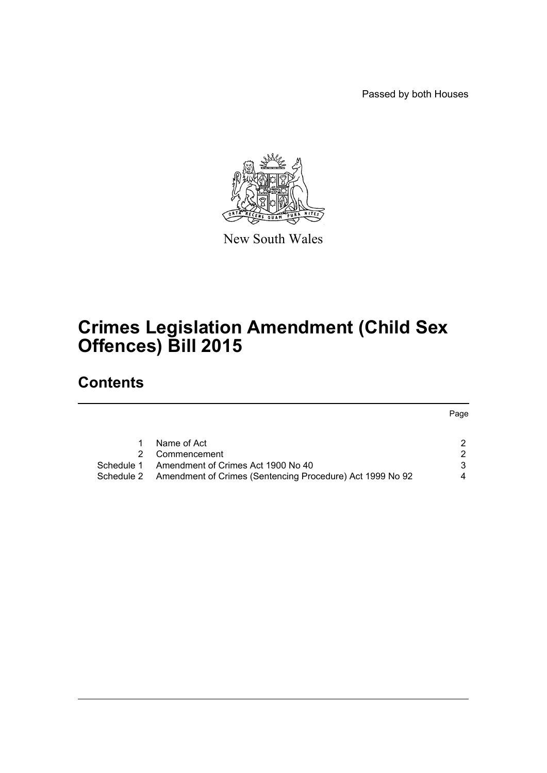Passed by both Houses



New South Wales

# **Crimes Legislation Amendment (Child Sex Offences) Bill 2015**

## **Contents**

Page

|            | Name of Act                                                          |   |
|------------|----------------------------------------------------------------------|---|
|            | 2 Commencement                                                       |   |
| Schedule 1 | Amendment of Crimes Act 1900 No 40                                   |   |
|            | Schedule 2 Amendment of Crimes (Sentencing Procedure) Act 1999 No 92 | 4 |
|            |                                                                      |   |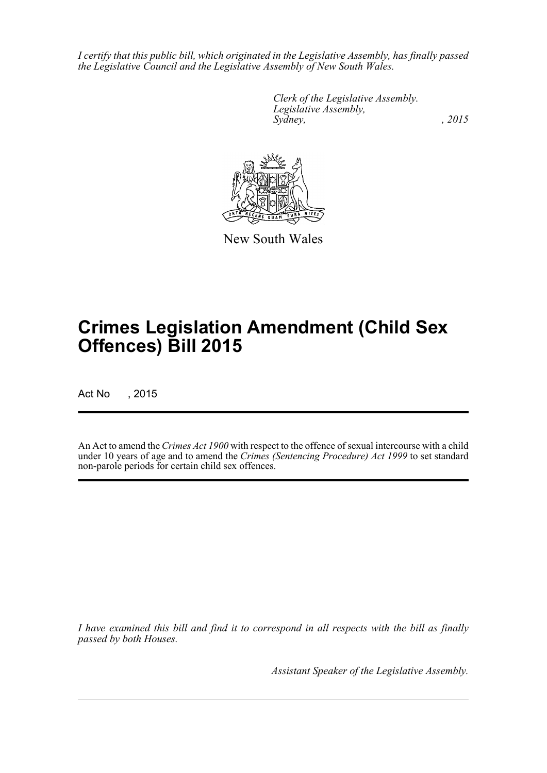*I certify that this public bill, which originated in the Legislative Assembly, has finally passed the Legislative Council and the Legislative Assembly of New South Wales.*

> *Clerk of the Legislative Assembly. Legislative Assembly, Sydney,* , 2015



New South Wales

# **Crimes Legislation Amendment (Child Sex Offences) Bill 2015**

Act No , 2015

An Act to amend the *Crimes Act 1900* with respect to the offence of sexual intercourse with a child under 10 years of age and to amend the *Crimes (Sentencing Procedure) Act 1999* to set standard non-parole periods for certain child sex offences.

*I have examined this bill and find it to correspond in all respects with the bill as finally passed by both Houses.*

*Assistant Speaker of the Legislative Assembly.*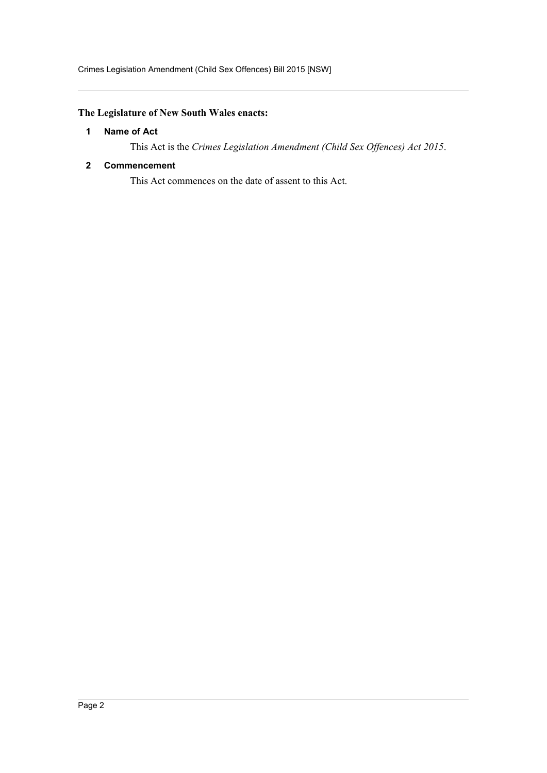### <span id="page-2-0"></span>**The Legislature of New South Wales enacts:**

#### **1 Name of Act**

This Act is the *Crimes Legislation Amendment (Child Sex Offences) Act 2015*.

#### <span id="page-2-1"></span>**2 Commencement**

This Act commences on the date of assent to this Act.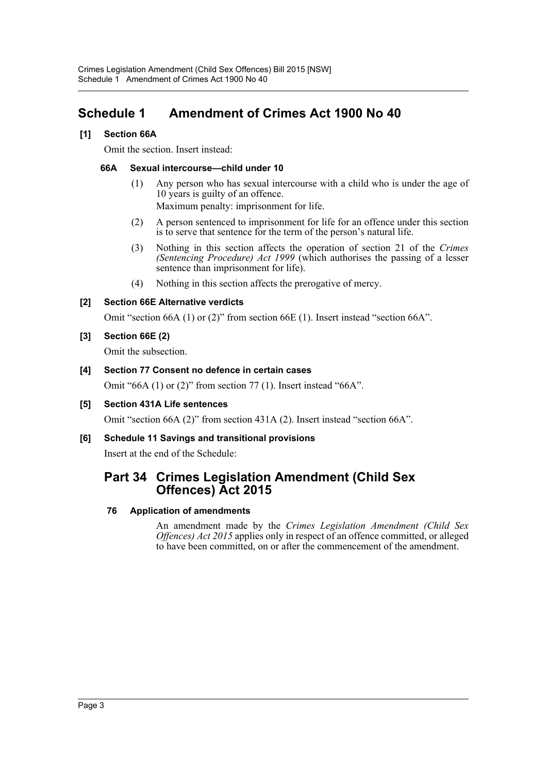## <span id="page-3-0"></span>**Schedule 1 Amendment of Crimes Act 1900 No 40**

#### **[1] Section 66A**

Omit the section. Insert instead:

#### **66A Sexual intercourse—child under 10**

(1) Any person who has sexual intercourse with a child who is under the age of 10 years is guilty of an offence.

Maximum penalty: imprisonment for life.

- (2) A person sentenced to imprisonment for life for an offence under this section is to serve that sentence for the term of the person's natural life.
- (3) Nothing in this section affects the operation of section 21 of the *Crimes (Sentencing Procedure) Act 1999* (which authorises the passing of a lesser sentence than imprisonment for life).
- (4) Nothing in this section affects the prerogative of mercy.

#### **[2] Section 66E Alternative verdicts**

Omit "section 66A (1) or (2)" from section 66E (1). Insert instead "section 66A".

#### **[3] Section 66E (2)**

Omit the subsection.

#### **[4] Section 77 Consent no defence in certain cases**

Omit "66A (1) or (2)" from section 77 (1). Insert instead "66A".

#### **[5] Section 431A Life sentences**

Omit "section 66A (2)" from section 431A (2). Insert instead "section 66A".

### **[6] Schedule 11 Savings and transitional provisions**

Insert at the end of the Schedule:

## **Part 34 Crimes Legislation Amendment (Child Sex Offences) Act 2015**

#### **76 Application of amendments**

An amendment made by the *Crimes Legislation Amendment (Child Sex Offences) Act 2015* applies only in respect of an offence committed, or alleged to have been committed, on or after the commencement of the amendment.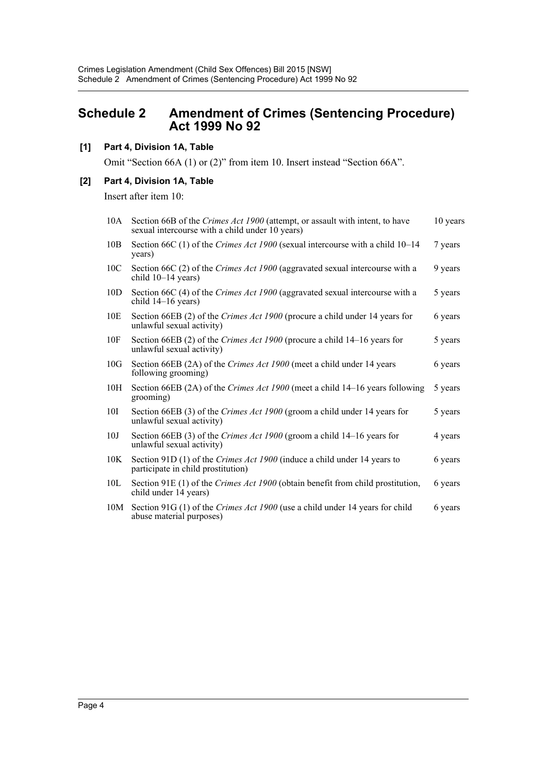## <span id="page-4-0"></span>**Schedule 2 Amendment of Crimes (Sentencing Procedure) Act 1999 No 92**

#### **[1] Part 4, Division 1A, Table**

Omit "Section 66A (1) or (2)" from item 10. Insert instead "Section 66A".

#### **[2] Part 4, Division 1A, Table**

Insert after item 10:

| 10A             | Section 66B of the Crimes Act 1900 (attempt, or assault with intent, to have<br>sexual intercourse with a child under 10 years) | 10 years |
|-----------------|---------------------------------------------------------------------------------------------------------------------------------|----------|
| 10B             | Section 66C (1) of the Crimes Act 1900 (sexual intercourse with a child 10-14<br>years)                                         | 7 years  |
| 10 <sub>C</sub> | Section 66C (2) of the Crimes Act 1900 (aggravated sexual intercourse with a<br>child $10-14$ years)                            | 9 years  |
| 10D             | Section 66C (4) of the Crimes Act 1900 (aggravated sexual intercourse with a<br>child 14-16 years)                              | 5 years  |
| 10E             | Section 66EB (2) of the Crimes Act 1900 (procure a child under 14 years for<br>unlawful sexual activity)                        | 6 years  |
| 10F             | Section 66EB (2) of the Crimes Act 1900 (procure a child 14–16 years for<br>unlawful sexual activity)                           | 5 years  |
| 10G             | Section 66EB (2A) of the Crimes Act 1900 (meet a child under 14 years<br>following grooming)                                    | 6 years  |
| 10H             | Section 66EB (2A) of the <i>Crimes Act 1900</i> (meet a child 14–16 years following<br>grooming)                                | 5 years  |
| 10I             | Section 66EB (3) of the Crimes Act 1900 (groom a child under 14 years for<br>unlawful sexual activity)                          | 5 years  |
| 10J             | Section 66EB (3) of the Crimes Act 1900 (groom a child 14–16 years for<br>unlawful sexual activity)                             | 4 years  |
| 10K             | Section 91D (1) of the Crimes Act 1900 (induce a child under 14 years to<br>participate in child prostitution)                  | 6 years  |
| 10 <sub>L</sub> | Section 91E (1) of the <i>Crimes Act 1900</i> (obtain benefit from child prostitution,<br>child under 14 years)                 | 6 years  |
| 10M             | Section 91G (1) of the Crimes Act 1900 (use a child under 14 years for child<br>abuse material purposes)                        | 6 years  |
|                 |                                                                                                                                 |          |